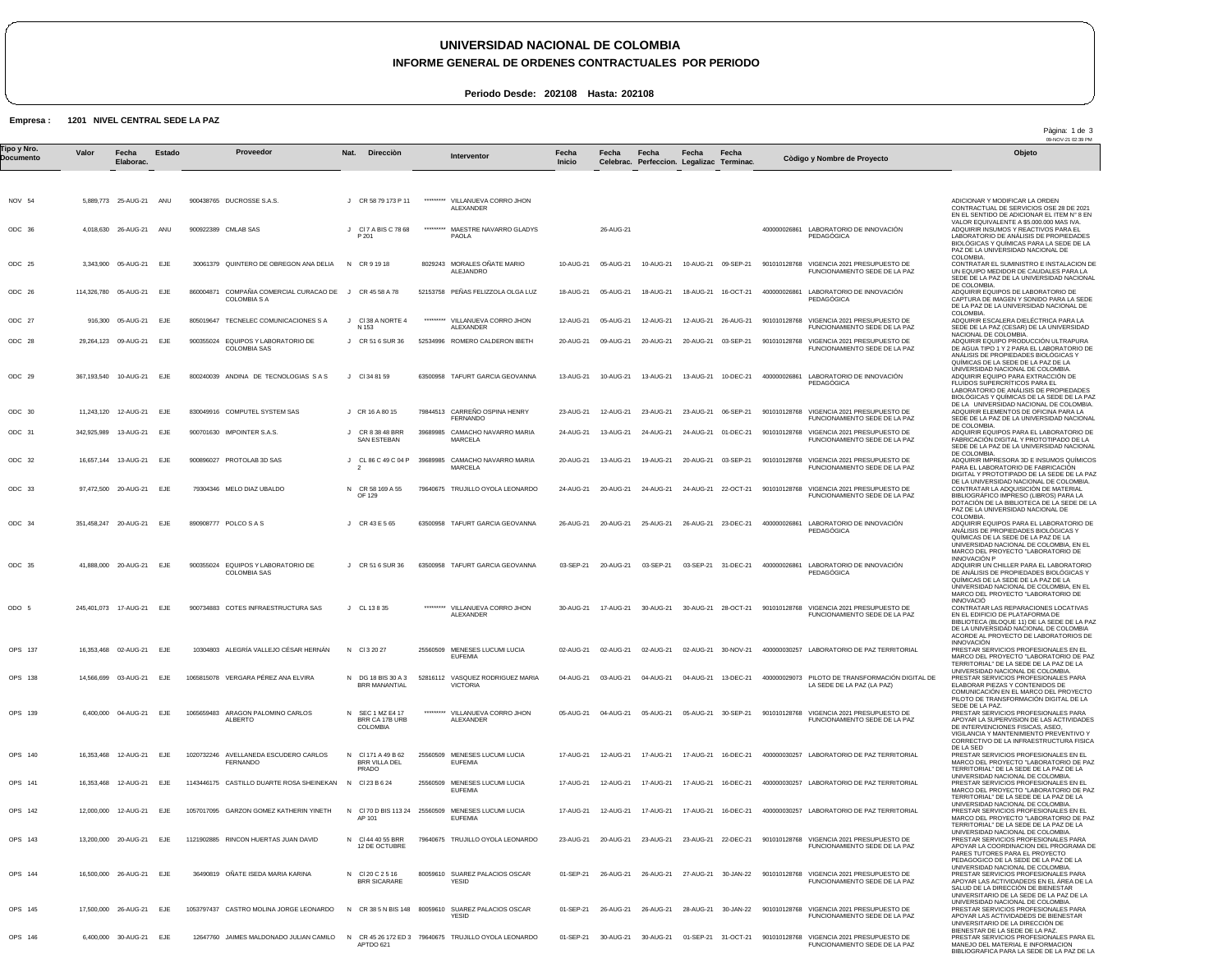## **UNIVERSIDAD NACIONAL DE COLOMBIA**

### **INFORME GENERAL DE ORDENES CONTRACTUALES POR PERIODO**

Pàgina: 1 de 3

BIBLIOGRAFICA PARA LA SEDE DE LA PAZ DE LA

**Periodo Desde: 202108 Hasta: 202108**

#### **Empresa : 1201 NIVEL CENTRAL SEDE LA PAZ**

09-NOV-21 02:39 PM NOV 54 ODC 36 ODC 25 ODC 26 ODC 27 ODC 28 ODC 29 ODC 30 ODC 31 ODC 32 ODC 33 ODC 34 ODC 35 ODO 5 OPS 137 OPS 138 OPS 139 OPS 140 OPS 141 OPS 142 OPS 143 OPS 144 OPS 145 OPS 146 5,889,773 25-AUG-21 ANU 4,018,630 26-AUG-21 3,343,900 05-AUG-21 114,326,780 05-AUG-21 EJE 916,300 05-AUG-21 29,264,123 09-AUG-21 367,193,540 10-AUG-21 EJE 11,243,120 12-AUG-21 342,925,989 13-AUG-21 EJE 16,657,144 13-AUG-21 EJE 97,472,500 20-AUG-21 351,458,247 20-AUG-21 EJE 41,888,000 20-AUG-21 245,401,073 17-AUG-21 16,353,468 02-AUG-21 14,566,699 03-AUG-21 6,400,000 16,353,468 16,353,468 12-AUG-21 12,000,000 12-AUG-21 13,200,000 16,500,000 26-AUG-21 17,500,000 26-AUG-21 6,400,000 30-AUG-21 EJE **Valor** 04-AUG-21 12-AUG-21 20-AUG-21 **Fecha Elaborac.** ANU EJE EJE EJE EJE EJE EJE EJE EJE EJE EJE EJE EJE EJE EJE EJE EJE **Estado** 900438765 DUCROSSE S.A.S. 900922389 CMLAB SAS 30061379 QUINTERO DE OBREGON ANA DELIA 860004871 COMPAÑIA COMERCIAL CURACAO DE COLOMBIA S A J CR 45 58 A 78 805019647 TECNELEC COMUNICACIONES S A 900355024 EQUIPOS Y LABORATORIO DE COLOMBIA SAS 800240039 ANDINA DE TECNOLOGIAS S A S 830049916 COMPUTEL SYSTEM SAS 900701630 IMPOINTER S.A.S. 900896027 PROTOLAB 3D SAS 79304346 MELO DIAZ UBALDO 890908777 POLCO S A S 900355024 EQUIPOS Y LABORATORIO DE 900734883 COTES INFRAESTRUCTURA SAS 10304803 ALEGRÍA VALLEJO CÉSAR HERNÁN 1065815078 VERGARA PÉREZ ANA ELVIRA 1065659483 ARAGON PALOMINO CARLOS 1020732246 AVELLANEDA ESCUDERO CARLOS 1143446175 CASTILLO DUARTE ROSA SHEINEKAN N Cl 23 B 6 24 1057017095 GARZON GOMEZ KATHERIN YINETH 1121902885 RINCON HUERTAS JUAN DAVID 36490819 OÑATE ISEDA MARIA KARINA 1053797437 CASTRO MOLINA JORGE LEONARDO 12647760 JAIMES MALDONADO JULIAN CAMILO N CR 45 26 172 ED 3 APTDO 621 79640675 TRUJILLO OYOLA LEONARDO COLOMBIA SAS ALBERTO **FERNANDC** J CR 58 79 173 P 11 J Cl 7 A BIS C 78 68 N CR 9 19 18 J Cl 38 A NORTE 4 J CR 51 6 SUR 36 J Cl 34 81 59 J CR 16 A 80 15 J CR 8 38 48 BRR J CL 86 C 49 C 04 P 39689985 CAMACHO NAVARRO MARIA N CR 58 169 A 55 OF 129 J CR 43 E 5 65 J CR 51 6 SUR 36 J CL 13 8 35 N Cl 3 20 27 N DG 18 BIS 30 A 3 N SEC 1 MZ E4 17 BRR CA 17B URB N N Cl 70 D BIS 113 24 25560509 MENESES LUCUMI LUCIA N Cl 44 40 55 BRR N Cl 20 C 2 5 16 N CR 38 5 N BIS 148 80059610 SUAREZ PALACIOS OSCAR **Nat.** P 201 N 153 SAN ESTEBAN 2 BRR MANANTIAL COLOMBIA Cl 171 A 49 B 62 BRR VILLA DEL PRADO AP 101 12 DE OCTUBRE BRR SICARARE **Direcciòn** \*\*\*\*\*\*\*\*\* \*\*\*\*\*\*\*\*\* 8029243 MORALES OÑATE MARIO 52153758 PEÑAS FELIZZOLA OLGA LUZ \*\*\*\*\*\*\*\*\* 52534996 ROMERO CALDERON IBETH 63500958 TAFURT GARCIA GEOVANNA 79844513 CARREÑO OSPINA HENRY 39689985 CAMACHO NAVARRO MARIA 79640675 TRUJILLO OYOLA LEONARDO 63500958 TAFURT GARCIA GEOVANNA 63500958 TAFURT GARCIA GEOVANNA \*\*\*\*\*\*\*\*\* 25560509 MENESES LUCUMI LUCIA 52816112 VASQUEZ RODRIGUEZ MARIA \*\*\*\*\*\*\*\*\* 25560509 MENESES LUCUMI LUCIA 25560509 MENESES LUCUMI LUCIA 79640675 TRUJILLO OYOLA LEONARDO 80059610 SUAREZ PALACIOS OSCAR VILLANUEVA CORRO JHON ALEXANDER MAESTRE NAVARRO GLADYS PAOLA ALEJANDRO VILLANUEVA CORRO JHON ALEXANDER **FERNANDO** MARCELA MARCELA VILLANUEVA CORRO JHON ALEXANDER **EUFEMIA** VICTORIA VILLANUEVA CORRO JHON ALEXANDER **EUFEMIA EUFEMIA** EUFEMIA YESID YESID 10-AUG-21 18-AUG-21 12-AUG-21 20-AUG-21 13-AUG-21 23-AUG-21 24-AUG-21 20-AUG-21 24-AUG-21 26-AUG-21 03-SEP-21 30-AUG-21 02-AUG-21 04-AUG-21 05-AUG-21 17-AUG-21 17-AUG-21 17-AUG-21 23-AUG-21 01-SEP-21 01-SEP-21 01-SEP-21 30-AUG-21 30-AUG-21 01-SEP-21 31-OCT-21 901010128768 VIGENCIA 2021 PRESUPUESTO DE **Fecha Inicio** 26-AUG-21 05-AUG-21 05-AUG-21 05-AUG-21 09-AUG-21 10-AUG-21 12-AUG-21 13-AUG-21 13-AUG-21 20-AUG-21 20-AUG-21 25-AUG-21 20-AUG-21 17-AUG-21 02-AUG-21 03-AUG-21 04-AUG-21 12-AUG-21 12-AUG-21 12-AUG-21 20-AUG-21 26-AUG-21 26-AUG-21 **Fecha Celebrac.** 10-AUG-21 18-AUG-21 12-AUG-21 20-AUG-21 13-AUG-21 23-AUG-21 24-AUG-21 19-AUG-21 24-AUG-21 03-SEP-21 30-AUG-21 02-AUG-21 04-AUG-21 05-AUG-21 17-AUG-21 17-AUG-21 17-AUG-21 23-AUG-21 26-AUG-21 26-AUG-21 **Fecha Perfeccion. Legalizac Terminac.** 10-AUG-21 09-SEP-21 18-AUG-21 16-OCT-21 12-AUG-21 26-AUG-21 20-AUG-21 03-SEP-21 13-AUG-21 10-DEC-21 23-AUG-21 24-AUG-21 01-DEC-21 20-AUG-21 03-SEP-21 24-AUG-21 22-OCT-21 26-AUG-21 23-DEC-21 03-SEP-21 31-DEC-21 30-AUG-21 28-OCT-21 02-AUG-21 30-NOV-21 400000030257 LABORATORIO DE PAZ TERRITORIAL 04-AUG-21 13-DEC-21 05-AUG-21 30-SEP-21 17-AUG-21 17-AUG-21 16-DEC-21 17-AUG-21 16-DEC-21 23-AUG-21 27-AUG-21 30-JAN-22 28-AUG-21 30-JAN-22 **Fecha** 06-SEP-21 16-DEC-21 22-DEC-21 **Fecha** 400000026861 LABORATORIO DE INNOVACIÓN PEDAGÓGICA 901010128768 VIGENCIA 2021 PRESUPUESTO DE FUNCIONAMIENTO SEDE DE LA PAZ 400000026861 901010128768 VIGENCIA 2021 PRESUPUESTO DE 901010128768 VIGENCIA 2021 PRESUPUESTO DE 400000026861 LABORATORIO DE INNOVACIÓN 901010128768 VIGENCIA 2021 PRESUPUESTO DE FUNCIONAMIENTO SEDE DE LA PAZ 901010128768 VIGENCIA 2021 PRESUPUESTO DE FUNCIONAMIENTO SEDE DE LA PAZ 901010128768 VIGENCIA 2021 PRESUPUESTO DE 901010128768 VIGENCIA 2021 PRESUPUESTO DE FUNCIONAMIENTO SEDE DE LA PAZ 400000026861 LABORATORIO DE INNOVACIÓN 400000026861 LABORATORIO DE INNOVACIÓN 901010128768 VIGENCIA 2021 PRESUPUESTO DE 400000029073 PILOTO DE TRANSFORMACIÓN DIGITAL DE 901010128768 VIGENCIA 2021 PRESUPUESTO DE FUNCIONAMIENTO SEDE DE LA PAZ 400000030257 LABORATORIO DE PAZ TERRITORIAL 400000030257 LABORATORIO DE PAZ TERRITORIAL 400000030257 LABORATORIO DE PAZ TERRITORIAL 901010128768 VIGENCIA 2021 PRESUPUESTO DE 901010128768 VIGENCIA 2021 PRESUPUESTO DE FUNCIONAMIENTO SEDE DE LA PAZ 901010128768 VIGENCIA 2021 PRESUPUESTO DE FUNCIONAMIENTO SEDE DE LA PAZ LABORATORIO DE INNOVACIÓN PEDAGÓGICA FUNCIONAMIENTO SEDE DE LA PAZ FUNCIONAMIENTO SEDE DE LA PAZ PEDAGÓGICA FUNCIONAMIENTO SEDE DE LA PAZ PEDAGÓGICA PEDAGÓGICA FUNCIONAMIENTO SEDE DE LA PAZ LA SEDE DE LA PAZ (LA PAZ) FUNCIONAMIENTO SEDE DE LA PAZ FUNCIONAMIENTO SEDE DE LA PAZ ADICIONAR Y MODIFICAR LA ORDEN CONTRACTUAL DE SERVICIOS OSE 28 DE 2021 EN EL SENTIDO DE ADICIONAR EL ITEM N° 8 EN VALOR EQUIVALENTE A \$5.000.000 MAS IVA. ADQUIRIR INSUMOS Y REACTIVOS PARA EL LABORATORIO DE ANÁLISIS DE PROPIEDADES BIOLÓGICAS Y QUÍMICAS PARA LA SEDE DE LA PAZ DE LA UNIVERSIDAD NACIONAL DE COLOMBIA. CONTRATAR EL SUMINISTRO E INSTALACION DE UN EQUIPO MEDIDOR DE CAUDALES PARA LA SEDE DE LA PAZ DE LA UNIVERSIDAD NACIONAL DE COLOMBIA. ADQUIRIR EQUIPOS DE LABORATORIO DE CAPTURA DE IMAGEN Y SONIDO PARA LA SEDE DE LA PAZ DE LA UNIVERSIDAD NACIONAL DE COLOMBIA. ADQUIRIR ESCALERA DIELÉCTRICA PARA LA SEDE DE LA PAZ (CESAR) DE LA UNIVERSIDAD NACIONAL DE COLOMBIA. ADQUIRIR EQUIPO PRODUCCIÓN ULTRAPURA DE AGUA TIPO 1 Y 2 PARA EL LABORATORIO DE ANÁLISIS DE PROPIEDADES BIOLÓGICAS Y QUÍMICAS DE LA SEDE DE LA PAZ DE LA UNIVERSIDAD NACIONAL DE COLOMBIA. ADQUIRIR EQUIPO PARA EXTRACCIÓN DE FLUIDOS SUPERCRÍTICOS PARA EL LABORATORIO DE ANÁLISIS DE PROPIEDADES BIOLÓGICAS Y QUÍMICAS DE LA SEDE DE LA PAZ DE LA UNIVERSIDAD NACIONAL DE COLOMBIA. ADQUIRIR ELEMENTOS DE OFICINA PARA LA SEDE DE LA PAZ DE LA UNIVERSIDAD NACIONAL DE COLOMBIA. ADQUIRIR EQUIPOS PARA EL LABORATORIO DE FABRICACIÓN DIGITAL Y PROTOTIPADO DE LA SEDE DE LA PAZ DE LA UNIVERSIDAD NACIONAL DE COLOMBIA. ADQUIRIR IMPRESORA 3D E INSUMOS QUÍMICOS PARA EL LABORATORIO DE FABRICACIÓN DIGITAL Y PROTOTIPADO DE LA SEDE DE LA PAZ DE LA UNIVERSIDAD NACIONAL DE COLOMBIA. CONTRATAR LA ADQUISICIÓN DE MATERIAL BIBLIOGRÁFICO IMPRESO (LIBROS) PARA LA<br>DOTACIÓN DE LA BIBLIOTECA DE LA SEDE DE LA<br>PAZ DE LA UNIVERSIDAD NACIONAL DE<br>COLOMBIA.<br>ADQUIRIR EQUIPOS PARA EL LABORATORIO DE ANÁLISIS DE PROPIEDADES BIOLÓGICAS Y QUÍMICAS DE LA SEDE DE LA PAZ DE LA UNIVERSIDAD NACIONAL DE COLOMBIA, EN EL MARCO DEL PROYECTO "LABORATORIO DE INNOVACIÓN P ADQUIRIR UN CHILLER PARA EL LABORATORIO DE ANALISIS DE PROPIEDADES BIOLÓGICAS Y<br>QUÍMICAS DE LA SEDE DE LA PAZ DE LA<br>UNIVERSIDAD NACIONAL DE COLOMBIA, EN EL<br>MARCO DEL PROYECTO "LABORATORIO DE INNOVACIÓ CONTRATAR LAS REPARACIONES LOCATIVAS EN EL EDIFICIO DE PLATAFORMA DE BIBLIOTECA (BLOQUE 11) DE LA SEDE DE LA PAZ DE LA UNIVERSIDAD NACIONAL DE COLOMBIA ACORDE AL PROYECTO DE LABORATORIOS DE INNOVACIÓN **PRESTAR SERVICIOS PROFESIONALES EN EL<br>MARCO DEL PROYECTO "LABORATORIO DE PAZ** MARCO DEL PROYECTO "LABORATORIO DE PAZ<br>TERRITORIAL" DE LA SEDE DE LA PAZ DE LA<br>UNIVERSIDAD NACIONAL DE COLOMBIA.<br>PRESTAR SERVICIOS PROFESIONALES PARA ELABORAR PIEZAS Y CONTENIDOS DE COMUNICACIÓN EN EL MARCO DEL PROYECTO PILOTO DE TRANSFORMACIÓN DIGITAL DE LA SEDE DE LA PAZ. PRESTAR SERVICIOS PROFESIONALES PARA APOYAR LA SUPERVISION DE LAS ACTIVIDADES DE INTERVENCIONES FISICAS, ASEO, VIGILANCIA Y MANTENIMIENTO PREVENTIVO Y CORRECTIVO DE LA INFRAESTRUCTURA FISICA DE LA SED PRESTAR SERVICIOS PROFESIONALES EN EL MARCO DEL PROYECTO "LABORATORIO DE PAZ TERRITORIAL" DE LA SEDE DE LA PAZ DE LA UNIVERSIDAD NACIONAL DE COLOMBIA.<br>UNESTAR SERVICIOS PROFESIONALES EN EL<br>MARCO DEL PROYECTO "LABORATORIO DE PAZ<br>TERRITORIAL" DE LA SEDE DE LA PAZ DE LA<br>UNIVERSIDAD NACIONAL DE COLOMBIA.<br>PRESTAR SERVICIOS PROFESIONALES EN EL TERRITORIAL" DE LA SEDE DE LA PAZ DE LA UNIVERSIDAD NACIONAL DE COLOMBIA. PRESTAR SERVICIOS PROFESIONALES PARA APOYAR LA COORDINACION DEL PROGRAMA DE PARES TUTORES PARA EL PROYECTO PEDAGOGICO DE LA SEDE DE LA PAZ DE LA<br>UNIVERSIDAD NACIONAL DE COLOMBIA.<br>PRESTAR SERVICIOS PROFESIONALES PARA<br>APOYAR LAS ACTIVIDADEDS EN EL ÁREA DE LA SALUD DE LA DIRECCIÓN DE BIENESTAR UNIVERSITARIO DE LA SEDE DE LA PAZ DE LA UNIVERSIDAD NACIONAL DE COLOMBIA. PRESTAR SERVICIOS PROFESIONALES PARA APOYAR LAS ACTIVIDADEDS DE BIENESTAR UNIVERSITARIO DE LA DIRECCIÓN DE BIENESTAR DE LA SEDE DE LA PAZ. PRESTAR SERVICIOS PROFESIONALES PARA EL MANEJO DEL MATERIAL E INFORMACION Tipo y Nro.<br>"Province a Valor Fecha Estado Proveedor Nat. Direcciòn Interventor Fecha Fecha Fecha Fecha Computer a variante i a computator a variante del Dijeto **Documento Proveedor Interventor Còdigo y Nombre de Proyecto**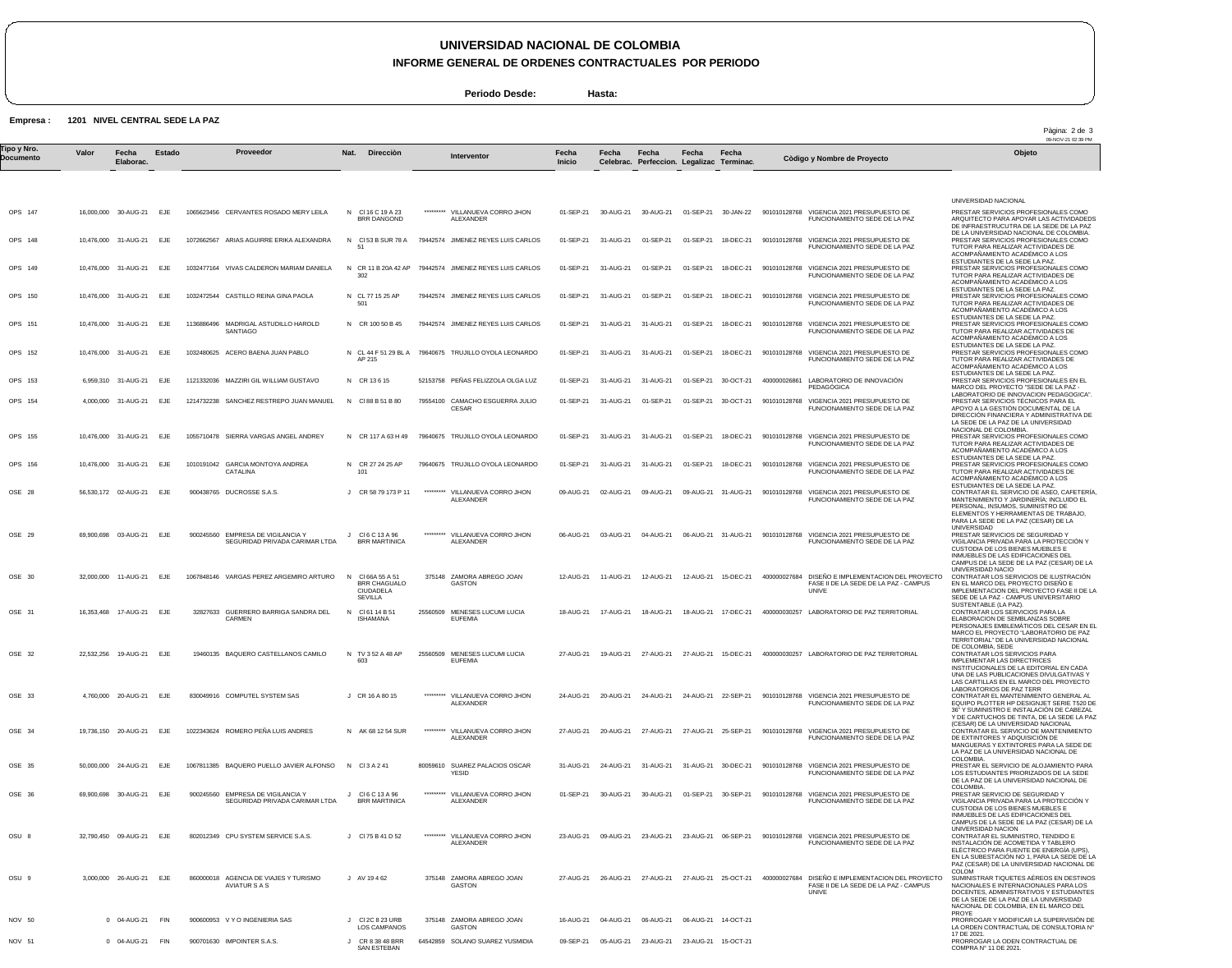# **UNIVERSIDAD NACIONAL DE COLOMBIA**

**INFORME GENERAL DE ORDENES CONTRACTUALES POR PERIODO**

**Periodo Desde: Hasta:**

**Empresa : 1201 NIVEL CENTRAL SEDE LA PAZ**

|                          |           |                            |            |                                                                     |                                                         |           |                                                       |                 |           |                                                    |                     |                     |                                                                                                                              | Pàgina: 2 de 3<br>09-NOV-21 02:39 PM                                                                                                                                                                                                                                                                                    |
|--------------------------|-----------|----------------------------|------------|---------------------------------------------------------------------|---------------------------------------------------------|-----------|-------------------------------------------------------|-----------------|-----------|----------------------------------------------------|---------------------|---------------------|------------------------------------------------------------------------------------------------------------------------------|-------------------------------------------------------------------------------------------------------------------------------------------------------------------------------------------------------------------------------------------------------------------------------------------------------------------------|
| ⊺ipo y Nro.<br>Documento | Valor     | Fecha<br>Elaborac.         | Estado     | Proveedor                                                           | Nat.<br>Direcciòn                                       |           | Interventor                                           | Fecha<br>Inicio | Fecha     | Fecha<br>Celebrac. Perfeccion. Legalizac Terminac. | Fecha               | Fecha               | Còdigo y Nombre de Proyecto                                                                                                  | Objeto                                                                                                                                                                                                                                                                                                                  |
|                          |           |                            |            |                                                                     |                                                         |           |                                                       |                 |           |                                                    |                     |                     |                                                                                                                              | UNIVERSIDAD NACIONAL                                                                                                                                                                                                                                                                                                    |
| OPS 147                  |           | 16,000,000 30-AUG-21       | EJE        | 1065623456 CERVANTES ROSADO MERY LEILA                              | N CI16 C 19 A 23<br><b>BRR DANGOND</b>                  | ********* | VILLANUEVA CORRO JHON<br>ALEXANDER                    | 01-SEP-21       | 30-AUG-21 | 30-AUG-21                                          |                     | 01-SEP-21 30-JAN-22 | 901010128768<br>VIGENCIA 2021 PRESUPUESTO DE<br>FUNCIONAMIENTO SEDE DE LA PAZ                                                | PRESTAR SERVICIOS PROFESIONALES COMO<br>ARQUITECTO PARA APOYAR LAS ACTIVIDADEDS<br>DE INFRAESTRUCUTRA DE LA SEDE DE LA PAZ                                                                                                                                                                                              |
| OPS 148                  |           | 10,476,000 31-AUG-21       | EJE        | 1072662567 ARIAS AGUIRRE ERIKA ALEXANDRA                            | N CI53 B SUR 78 A<br>51                                 |           | 79442574 JIMENEZ REYES LUIS CARLOS                    | 01-SEP-21       | 31-AUG-21 | 01-SEP-21                                          | 01-SEP-21           | 18-DEC-21           | 901010128768 VIGENCIA 2021 PRESUPUESTO DE<br>FUNCIONAMIENTO SEDE DE LA PAZ                                                   | DE LA UNIVERSIDAD NACIONAL DE COLOMBIA.<br>PRESTAR SERVICIOS PROFESIONALES COMO<br>TUTOR PARA REALIZAR ACTIVIDADES DE<br>ACOMPAÑAMIENTO ACADÉMICO A LOS                                                                                                                                                                 |
| OPS 149                  |           | 10.476.000 31-AUG-21       | EJE        | 1032477164 VIVAS CALDERON MARIAM DANIELA                            | N CR 11 B 20A 42 AP<br>302                              |           | 79442574 JIMENEZ REYES LUIS CARLOS                    | 01-SEP-21       | 31-AUG-21 | 01-SEP-21                                          | 01-SEP-21           | 18-DEC-21           | VIGENCIA 2021 PRESUPUESTO DE<br>901010128768<br>FUNCIONAMIENTO SEDE DE LA PAZ                                                | ESTUDIANTES DE LA SEDE LA PAZ.<br>PRESTAR SERVICIOS PROFESIONALES COMO<br>TUTOR PARA REALIZAR ACTIVIDADES DE<br>ACOMPAÑAMIENTO ACADÉMICO A LOS                                                                                                                                                                          |
| OPS 150                  |           | 10.476.000 31-AUG-21 EJE   |            | 1032472544 CASTILLO REINA GINA PAOLA                                | N CL 77 15 25 AP<br>50 <sup>′</sup>                     |           | 79442574 JIMENEZ REYES LUIS CARLOS                    | 01-SEP-21       | 31-AUG-21 | 01-SEP-21                                          |                     | 01-SEP-21 18-DEC-21 | 901010128768 VIGENCIA 2021 PRESUPUESTO DE<br>FUNCIONAMIENTO SEDE DE LA PAZ                                                   | ESTUDIANTES DE LA SEDE LA PAZ.<br>PRESTAR SERVICIOS PROFESIONALES COMO<br>TUTOR PARA REALIZAR ACTIVIDADES DE<br>ACOMPANAMIENTO ACADÉMICO A LOS                                                                                                                                                                          |
| OPS 151                  |           | 10,476,000 31-AUG-21 EJE   |            | 1136886496 MADRIGAL ASTUDILLO HAROLD<br>SANTIAGO                    | N CR 100 50 B 45                                        |           | 79442574 JIMENEZ REYES LUIS CARLOS                    | 01-SEP-21       | 31-AUG-21 | 31-AUG-21                                          | 01-SEP-21           | 18-DEC-21           | 901010128768 VIGENCIA 2021 PRESUPUESTO DE<br>FUNCIONAMIENTO SEDE DE LA PAZ                                                   | ESTUDIANTES DE LA SEDE LA PAZ.<br>PRESTAR SERVICIOS PROFESIONALES COMO<br>TUTOR PARA REALIZAR ACTIVIDADES DE<br>ACOMPAÑAMIENTO ACADÉMICO A LOS                                                                                                                                                                          |
| OPS 152                  |           | 10,476,000 31-AUG-21       | EJE        | 1032480625 ACERO BAENA JUAN PABLO                                   | AP 215                                                  |           | N CL 44 F 51 29 BL A 79640675 TRUJILLO OYOLA LEONARDO | 01-SEP-21       | 31-AUG-21 | 31-AUG-21                                          | 01-SEP-21           | 18-DEC-21           | 901010128768 VIGENCIA 2021 PRESUPUESTO DE<br>FUNCIONAMIENTO SEDE DE LA PAZ                                                   | ESTUDIANTES DE LA SEDE LA PAZ.<br>PRESTAR SERVICIOS PROFESIONALES COMO<br>TUTOR PARA REALIZAR ACTIVIDADES DE<br>ACOMPAÑAMIENTO ACADÉMICO A LOS                                                                                                                                                                          |
| OPS 153                  |           | 6,959,310 31-AUG-21        | EJE        | 1121332036 MAZZIRI GIL WILLIAM GUSTAVO                              | N CR 13615                                              |           | 52153758 PEÑAS FELIZZOLA OLGA LUZ                     | 01-SEP-21       | 31-AUG-21 | 31-AUG-21                                          |                     | 01-SEP-21 30-OCT-21 | LABORATORIO DE INNOVACIÓN<br>400000026861<br><b>PEDAGÓGICA</b>                                                               | ESTUDIANTES DE LA SEDE LA PAZ.<br>PRESTAR SERVICIOS PROFESIONALES EN EL<br>MARCO DEL PROYECTO "SEDE DE LA PAZ -                                                                                                                                                                                                         |
| OPS 154                  | 4,000,000 | 31-AUG-21                  | EJE        | 1214732238 SANCHEZ RESTREPO JUAN MANUEL                             | N CI88 B 51 B 80                                        | 79554100  | CAMACHO ESGUERRA JULIO<br><b>CESAR</b>                | 01-SEP-21       | 31-AUG-21 | 01-SEP-21                                          | 01-SEP-21           | 30-OCT-21           | VIGENCIA 2021 PRESUPUESTO DE<br>901010128768<br>FUNCIONAMIENTO SEDE DE LA PAZ                                                | LABORATORIO DE INNOVACION PEDAGOGICA"<br>PRESTAR SERVICIOS TÉCNICOS PARA EL<br>APOYO A LA GESTIÓN DOCUMENTAL DE LA<br>DIRECCIÓN FINANCIERA Y ADMINISTRATIVA DE<br>LA SEDE DE LA PAZ DE LA UNIVERSIDAD                                                                                                                   |
| OPS 155                  |           | 10,476,000 31-AUG-21       | EJE        | 1055710478 SIERRA VARGAS ANGEL ANDREY                               | N CR 117 A 63 H 49                                      |           | 79640675 TRUJILLO OYOLA LEONARDO                      | 01-SEP-21       | 31-AUG-21 | 31-AUG-21                                          | 01-SEP-21           | 18-DEC-21           | 901010128768 VIGENCIA 2021 PRESUPUESTO DE<br>FUNCIONAMIENTO SEDE DE LA PAZ                                                   | NACIONAL DE COLOMBIA.<br>PRESTAR SERVICIOS PROFESIONALES COMO<br>TUTOR PARA REALIZAR ACTIVIDADES DE<br>ACOMPAÑAMIENTO ACADÉMICO A LOS                                                                                                                                                                                   |
| OPS 156                  |           | 10,476,000 31-AUG-21       | EJE        | 1010191042 GARCIA MONTOYA ANDREA<br>CATALINA                        | N CR 27 24 25 AP<br>101                                 |           | 79640675 TRUJILLO OYOLA LEONARDO                      | 01-SEP-21       | 31-AUG-21 | 31-AUG-21                                          |                     | 01-SEP-21 18-DEC-21 | 901010128768 VIGENCIA 2021 PRESUPUESTO DE<br>FUNCIONAMIENTO SEDE DE LA PAZ                                                   | ESTUDIANTES DE LA SEDE LA PAZ.<br>PRESTAR SERVICIOS PROFESIONALES COMO<br>TUTOR PARA REALIZAR ACTIVIDADES DE<br>ACOMPAÑAMIENTO ACADÉMICO A LOS                                                                                                                                                                          |
| OSE 28                   |           | 56,530,172 02-AUG-21       | EJE        | 900438765 DUCROSSE S.A.S.                                           | J CR 58 79 173 P 11                                     | ********* | VILLANUEVA CORRO JHON<br><b>ALEXANDER</b>             | 09-AUG-21       | 02-AUG-21 | 09-AUG-21                                          |                     | 09-AUG-21 31-AUG-21 | 901010128768 VIGENCIA 2021 PRESUPUESTO DE<br>FUNCIONAMIENTO SEDE DE LA PAZ                                                   | ESTUDIANTES DE LA SEDE LA PAZ.<br>CONTRATAR EL SERVICIO DE ASEO, CAFETERÍA,<br>MANTENIMIENTO Y JARDINERÍA; INCLUIDO EL<br>PERSONAL, INSUMOS, SUMINISTRO DE<br>ELEMENTOS Y HERRAMIENTAS DE TRABAJO,                                                                                                                      |
| OSE 29                   |           | 69.900.698 03-AUG-21       | EJE        | 900245560 EMPRESA DE VIGILANCIA Y<br>SEGURIDAD PRIVADA CARIMAR LTDA | CI6 C 13 A 96<br>J.<br><b>BRR MARTINICA</b>             | ********* | VILLANUEVA CORRO JHON<br>ALEXANDER                    | 06-AUG-21       | 03-AUG-21 | 04-AUG-21                                          |                     | 06-AUG-21 31-AUG-21 | 901010128768<br>VIGENCIA 2021 PRESUPUESTO DE<br>FUNCIONAMIENTO SEDE DE LA PAZ                                                | PARA LA SEDE DE LA PAZ (CESAR) DE LA<br>UNIVERSIDAD<br>PRESTAR SERVICIOS DE SEGURIDAD Y<br>VIGILANCIA PRIVADA PARA LA PROTECCIÓN Y<br>CUSTODIA DE LOS BIENES MUEBLES E<br>INMUEBLES DE LAS EDIFICACIONES DEL<br>CAMPUS DE LA SEDE DE LA PAZ (CESAR) DE LA                                                               |
| OSE 30                   |           | 32,000,000 11-AUG-21       | EJE        | 1067848146 VARGAS PEREZ ARGEMIRO ARTURO                             | N<br>CI 66A 55 A 51<br><b>BRR CHAGUALO</b><br>CIUDADELA |           | 375148 ZAMORA ABREGO JOAN<br><b>GASTON</b>            | 12-AUG-21       | 11-AUG-21 | 12-AUG-21                                          | 12-AUG-21           | 15-DEC-21           | 400000027684<br>DISEÑO E IMPLEMENTACION DEL PROYECTO<br>FASE II DE LA SEDE DE LA PAZ - CAMPUS<br><b>UNIVE</b>                | UNIVERSIDAD NACIO<br>CONTRATAR LOS SERVICIOS DE ILUSTRACIÓN<br>EN EL MARCO DEL PROYECTO DISEÑO E<br>IMPLEMENTACION DEL PROYECTO FASE II DE LA<br>SEDE DE LA PAZ - CAMPUS UNIVERSITARIO                                                                                                                                  |
| OSE 31                   |           | 16,353,468  17-AUG-21  EJE |            | 32827633 GUERRERO BARRIGA SANDRA DEL<br><b>CARMEN</b>               | SEVILLA<br>N CI6114B51<br>ISHAMANA                      |           | 25560509 MENESES LUCUMI LUCIA<br><b>EUFEMIA</b>       | 18-AUG-21       | 17-AUG-21 | 18-AUG-21                                          |                     | 18-AUG-21 17-DEC-21 | 400000030257 LABORATORIO DE PAZ TERRITORIAL                                                                                  | SUSTENTABLE (LA PAZ).<br>CONTRATAR LOS SERVICIOS PARA LA<br>ELABORACION DE SEMBLANZAS SOBRE<br>PERSONAJES EMBLEMÁTICOS DEL CESAR EN EL                                                                                                                                                                                  |
| OSE 32                   |           | 22,532,256 19-AUG-21 EJE   |            | 19460135 BAQUERO CASTELLANOS CAMILO                                 | N TV 352 A 48 AP<br>603                                 |           | 25560509 MENESES LUCUMI LUCIA<br><b>EUFEMIA</b>       | 27-AUG-21       | 19-AUG-21 | 27-AUG-21                                          |                     | 27-AUG-21 15-DEC-21 | 400000030257 LABORATORIO DE PAZ TERRITORIAL                                                                                  | MARCO EL PROYECTO "LABORATORIO DE PAZ<br>TERRITORIAL" DE LA UNIVERSIDAD NACIONAL<br>DE COLOMBIA, SEDE<br>CONTRATAR LOS SERVICIOS PARA<br><b>IMPLEMENTAR LAS DIRECTRICES</b><br>INSTITUCIONALES DE LA EDITORIAL EN CADA<br>UNA DE LAS PUBLICACIONES DIVULGATIVAS Y                                                       |
| OSE 33                   |           | 4.760.000 20-AUG-21 EJE    |            | 830049916 COMPUTEL SYSTEM SAS                                       | J CR 16 A 80 15                                         | ********* | VILLANUEVA CORRO JHON<br><b>ALEXANDER</b>             |                 |           |                                                    |                     |                     | 24-AUG-21 20-AUG-21 24-AUG-21 24-AUG-21 22-SEP-21 901010128768 VIGENCIA 2021 PRESUPUESTO DE<br>FUNCIONAMIENTO SEDE DE LA PAZ | LAS CARTILLAS EN EL MARCO DEL PROYECTO<br>LABORATORIOS DE PAZ TERR<br>CONTRATAR EL MANTENIMIENTO GENERAL AL<br>EQUIPO PLOTTER HP DESIGNJET SERIE T520 DE<br>36" Y SUMINISTRO E INSTALACIÓN DE CABEZAL                                                                                                                   |
| OSE 34                   |           | 19,736,150 20-AUG-21       | <b>EJE</b> | 1022343624 ROMERO PEÑA LUIS ANDRES                                  | N AK 68 12 54 SUR                                       | ********* | VILLANUEVA CORRO JHON<br><b>ALEXANDER</b>             | 27-AUG-21       | 20-AUG-21 | 27-AUG-21                                          |                     | 27-AUG-21 25-SEP-21 | 901010128768 VIGENCIA 2021 PRESUPUESTO DE<br>FUNCIONAMIENTO SEDE DE LA PAZ                                                   | Y DE CARTUCHOS DE TINTA, DE LA SEDE LA PAZ<br>(CESAR) DE LA UNIVERSIDAD NACIONAL<br>CONTRATAR EL SERVICIO DE MANTENIMIENTO<br>DE EXTINTORES Y ADQUISICIÓN DE<br>MANGUERAS Y EXTINTORES PARA LA SEDE DE                                                                                                                  |
| OSE 35                   |           | 50,000,000 24-AUG-21 EJE   |            | 1067811385 BAQUERO PUELLO JAVIER ALFONSO N CI3A 241                 |                                                         |           | 80059610 SUAREZ PALACIOS OSCAR<br><b>YESID</b>        | 31-AUG-21       | 24-AUG-21 | 31-AUG-21                                          |                     | 31-AUG-21 30-DEC-21 | 901010128768 VIGENCIA 2021 PRESUPUESTO DE<br>FUNCIONAMIENTO SEDE DE LA PAZ                                                   | LA PAZ DE LA UNIVERSIDAD NACIONAL DE<br>COLOMBIA.<br>PRESTAR EL SERVICIO DE ALOJAMIENTO PARA<br>LOS ESTUDIANTES PRIORIZADOS DE LA SEDE                                                                                                                                                                                  |
| OSE 36                   |           | 69,900,698 30-AUG-21 EJE   |            | 900245560 EMPRESA DE VIGILANCIA Y<br>SEGURIDAD PRIVADA CARIMAR LTDA | J CI6 C 13 A 96<br><b>BRR MARTINICA</b>                 | ********* | VILLANUEVA CORRO JHON<br>ALEXANDER                    | 01-SEP-21       | 30-AUG-21 | 30-AUG-21                                          |                     | 01-SEP-21 30-SEP-21 | 901010128768 VIGENCIA 2021 PRESUPUESTO DE<br>FUNCIONAMIENTO SEDE DE LA PAZ                                                   | DE LA PAZ DE LA UNIVERSIDAD NACIONAL DE<br>COLOMBIA.<br>PRESTAR SERVICIO DE SEGURIDAD Y<br>VIGILANCIA PRIVADA PARA LA PROTECCIÓN Y<br>CUSTODIA DE LOS BIENES MUEBLES E                                                                                                                                                  |
| OSU 8                    |           | 32,790,450 09-AUG-21 EJE   |            | 802012349 CPU SYSTEM SERVICE S.A.S.                                 | J CI 75 B 41 D 52                                       | ********* | VILLANUEVA CORRO JHON<br>ALEXANDER                    | 23-AUG-21       | 09-AUG-21 | 23-AUG-21                                          |                     | 23-AUG-21 06-SEP-21 | 901010128768 VIGENCIA 2021 PRESUPUESTO DE<br>FUNCIONAMIENTO SEDE DE LA PAZ                                                   | INMUEBLES DE LAS EDIFICACIONES DEL<br>CAMPUS DE LA SEDE DE LA PAZ (CESAR) DE LA<br>UNIVERSIDAD NACION<br>CONTRATAR EL SUMINISTRO, TENDIDO E<br>INSTALACIÓN DE ACOMETIDA Y TABLERO<br>ELÉCTRICO PARA FUENTE DE ENERGÍA (UPS).<br>EN LA SUBESTACIÓN NO 1, PARA LA SEDE DE LA<br>PAZ (CESAR) DE LA UNIVERSIDAD NACIONAL DE |
| OSU 9                    |           | 3,000,000 26-AUG-21 EJE    |            | 860000018 AGENCIA DE VIAJES Y TURISMO<br>AVIATUR S A S              | J AV 19462                                              |           | 375148 ZAMORA ABREGO JOAN<br>GASTON                   | 27-AUG-21       | 26-AUG-21 | 27-AUG-21                                          |                     | 27-AUG-21 25-OCT-21 | DISEÑO E IMPLEMENTACION DEL PROYECTO<br>400000027684<br>FASE II DE LA SEDE DE LA PAZ - CAMPUS<br>UNIVE                       | <b>COLOM</b><br>SUMINISTRAR TIQUETES AÉREOS EN DESTINOS<br>NACIONALES E INTERNACIONALES PARA LOS<br>DOCENTES, ADMINISTRATIVOS Y ESTUDIANTES<br>DE LA SEDE DE LA PAZ DE LA UNIVERSIDAD<br>NACIONAL DE COLOMBIA, EN EL MARCO DEL                                                                                          |
| NOV 50                   |           | 0 04-AUG-21                | FIN        | 900600953 V Y O INGENIERIA SAS                                      | J CI 2C 8 23 URB<br>LOS CAMPANOS                        |           | 375148 ZAMORA ABREGO JOAN<br>GASTON                   | 16-AUG-21       | 04-AUG-21 | 06-AUG-21                                          | 06-AUG-21 14-OCT-21 |                     |                                                                                                                              | PROYE<br>PRORROGAR Y MODIFICAR LA SUPERVISIÓN DE<br>LA ORDEN CONTRACTUAL DE CONSULTORIA N°                                                                                                                                                                                                                              |
| NOV 51                   |           | 0 04-AUG-21 FIN            |            | 900701630 IMPOINTER S.A.S.                                          | J CR 8 38 48 BRR<br><b>SAN ESTEBAN</b>                  |           | 64542859 SOLANO SUAREZ YUSMIDIA                       | 09-SEP-21       |           | 05-AUG-21 23-AUG-21 23-AUG-21 15-OCT-21            |                     |                     |                                                                                                                              | 17 DE 2021.<br>PRORROGAR LA ODEN CONTRACTUAL DE<br>COMPRA N° 11 DE 2021.                                                                                                                                                                                                                                                |